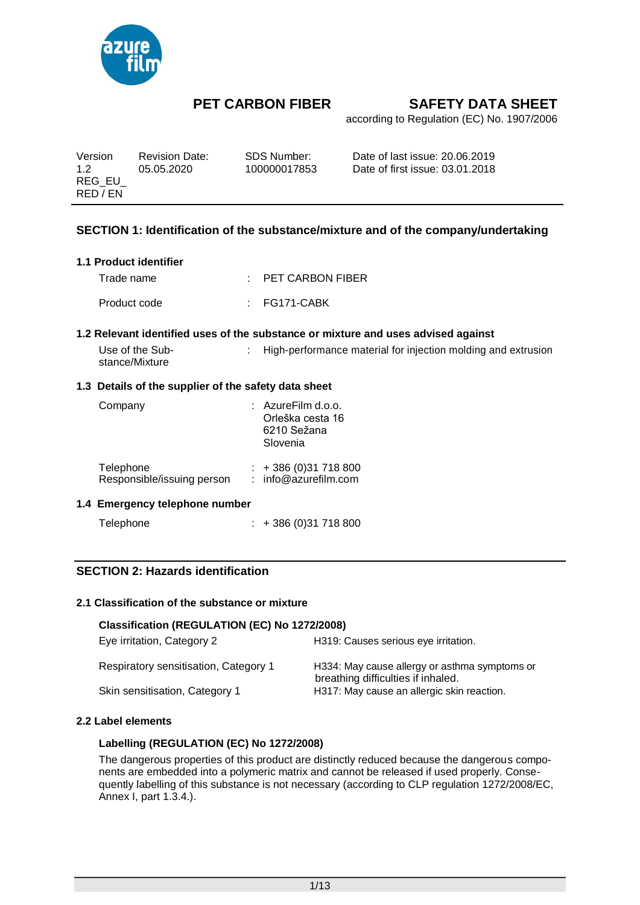

according to Regulation (EC) No. 1907/2006

| Version  | <b>Revision Date:</b> | SDS Number:  | Date of last issue: 20.06.2019  |
|----------|-----------------------|--------------|---------------------------------|
| 12       | 05.05.2020            | 100000017853 | Date of first issue: 03.01.2018 |
| REG EU   |                       |              |                                 |
| RED / EN |                       |              |                                 |

### **SECTION 1: Identification of the substance/mixture and of the company/undertaking**

#### **1.1 Product identifier**

| Trade name   | $\therefore$ PET CARBON FIBER |              |  |
|--------------|-------------------------------|--------------|--|
| Product code |                               | : FG171-CABK |  |

#### **1.2 Relevant identified uses of the substance or mixture and uses advised against**

| Use of the Sub- | High-performance material for injection molding and extrusion |
|-----------------|---------------------------------------------------------------|
| stance/Mixture  |                                                               |

#### **1.3 Details of the supplier of the safety data sheet**

| Company                    | $:$ AzureFilm d.o.o.<br>Orleška cesta 16<br>6210 Sežana<br>Slovenia |
|----------------------------|---------------------------------------------------------------------|
| Telephone                  | $: +386(0)31718800$                                                 |
| Responsible/issuing person | : info@azurefilm.com                                                |

#### **1.4 Emergency telephone number**

Telephone : + 386 (0) 31 718 800

### **SECTION 2: Hazards identification**

#### **2.1 Classification of the substance or mixture**

#### **Classification (REGULATION (EC) No 1272/2008)**

| Eye irritation, Category 2            | H319: Causes serious eye irritation.                                                |
|---------------------------------------|-------------------------------------------------------------------------------------|
| Respiratory sensitisation, Category 1 | H334: May cause allergy or asthma symptoms or<br>breathing difficulties if inhaled. |
| Skin sensitisation, Category 1        | H317: May cause an allergic skin reaction.                                          |

#### **2.2 Label elements**

#### **Labelling (REGULATION (EC) No 1272/2008)**

The dangerous properties of this product are distinctly reduced because the dangerous components are embedded into a polymeric matrix and cannot be released if used properly. Consequently labelling of this substance is not necessary (according to CLP regulation 1272/2008/EC, Annex I, part 1.3.4.).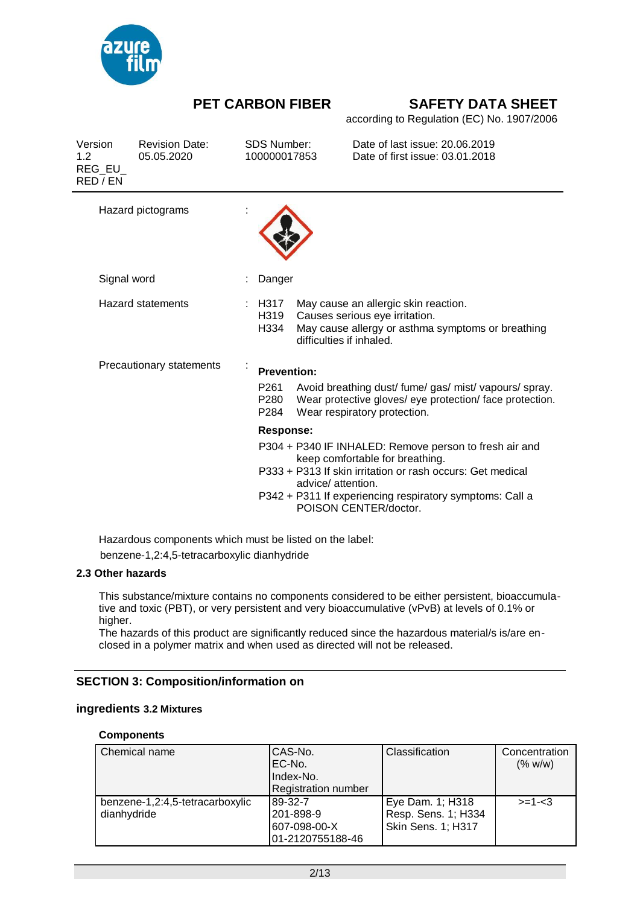

according to Regulation (EC) No. 1907/2006

| <b>Revision Date:</b><br>05.05.2020 |                                   |                                  |      | Date of last issue: 20.06.2019<br>Date of first issue: 03.01.2018 |                                                                                                                                                                                                                                                                                                                                                                                                                                                                                                                                                                                     |
|-------------------------------------|-----------------------------------|----------------------------------|------|-------------------------------------------------------------------|-------------------------------------------------------------------------------------------------------------------------------------------------------------------------------------------------------------------------------------------------------------------------------------------------------------------------------------------------------------------------------------------------------------------------------------------------------------------------------------------------------------------------------------------------------------------------------------|
| Hazard pictograms                   |                                   |                                  |      |                                                                   |                                                                                                                                                                                                                                                                                                                                                                                                                                                                                                                                                                                     |
|                                     |                                   |                                  |      |                                                                   |                                                                                                                                                                                                                                                                                                                                                                                                                                                                                                                                                                                     |
| Hazard statements                   |                                   | H319<br>H334                     |      |                                                                   |                                                                                                                                                                                                                                                                                                                                                                                                                                                                                                                                                                                     |
| Precautionary statements            |                                   | <b>Prevention:</b>               |      |                                                                   |                                                                                                                                                                                                                                                                                                                                                                                                                                                                                                                                                                                     |
|                                     |                                   | P <sub>261</sub><br>P280<br>P284 |      |                                                                   |                                                                                                                                                                                                                                                                                                                                                                                                                                                                                                                                                                                     |
|                                     |                                   |                                  |      |                                                                   |                                                                                                                                                                                                                                                                                                                                                                                                                                                                                                                                                                                     |
|                                     |                                   |                                  |      |                                                                   |                                                                                                                                                                                                                                                                                                                                                                                                                                                                                                                                                                                     |
|                                     | REG EU<br>RED / EN<br>Signal word |                                  | H317 | <b>SDS Number:</b><br>100000017853<br>Danger<br><b>Response:</b>  | May cause an allergic skin reaction.<br>Causes serious eye irritation.<br>May cause allergy or asthma symptoms or breathing<br>difficulties if inhaled.<br>Avoid breathing dust/ fume/ gas/ mist/ vapours/ spray.<br>Wear protective gloves/ eye protection/ face protection.<br>Wear respiratory protection.<br>P304 + P340 IF INHALED: Remove person to fresh air and<br>keep comfortable for breathing.<br>P333 + P313 If skin irritation or rash occurs: Get medical<br>advice/ attention.<br>P342 + P311 If experiencing respiratory symptoms: Call a<br>POISON CENTER/doctor. |

Hazardous components which must be listed on the label: benzene-1,2:4,5-tetracarboxylic dianhydride

#### **2.3 Other hazards**

This substance/mixture contains no components considered to be either persistent, bioaccumulative and toxic (PBT), or very persistent and very bioaccumulative (vPvB) at levels of 0.1% or higher.

The hazards of this product are significantly reduced since the hazardous material/s is/are enclosed in a polymer matrix and when used as directed will not be released.

#### **SECTION 3: Composition/information on**

#### **ingredients 3.2 Mixtures**

#### **Components**

| Chemical name                   | CAS-No.                    | Classification      | Concentration |
|---------------------------------|----------------------------|---------------------|---------------|
|                                 | EC-No.                     |                     | (% w/w)       |
|                                 | Index-No.                  |                     |               |
|                                 | <b>Registration number</b> |                     |               |
| benzene-1,2:4,5-tetracarboxylic | 89-32-7                    | Eye Dam. 1; H318    | $> = 1 - 3$   |
| dianhydride                     | 201-898-9                  | Resp. Sens. 1; H334 |               |
|                                 | 607-098-00-X               | Skin Sens. 1; H317  |               |
|                                 | 01-2120755188-46           |                     |               |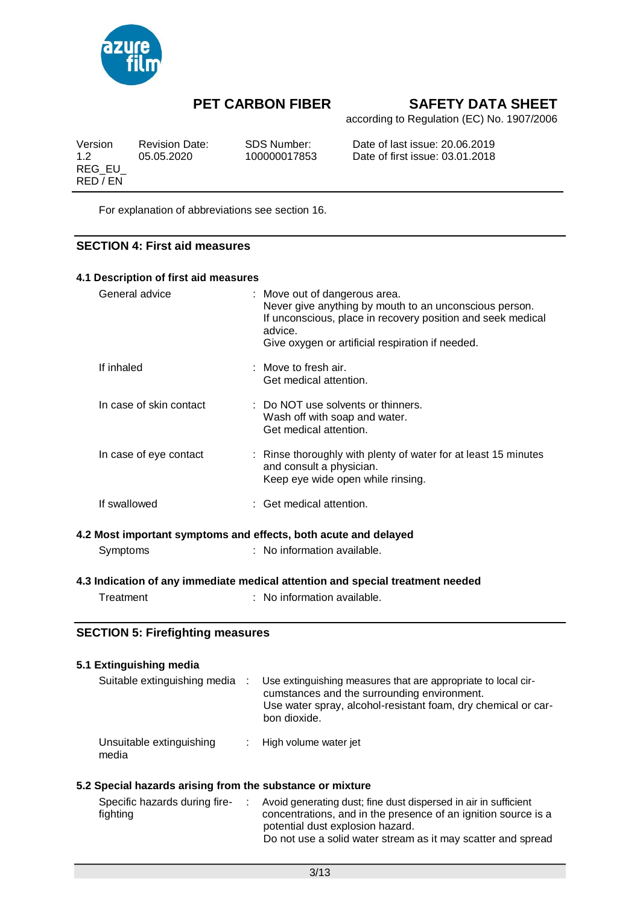

according to Regulation (EC) No. 1907/2006

| Version            | <b>Revision Date:</b> | SDS Number:  | Date of last issue: 20.06.2019  |
|--------------------|-----------------------|--------------|---------------------------------|
| 12                 | 05.05.2020            | 100000017853 | Date of first issue: 03.01.2018 |
| REG EU<br>RED / EN |                       |              |                                 |

For explanation of abbreviations see section 16.

### **SECTION 4: First aid measures**

| 4.1 Description of first aid measures   |                                                                                                                                                                                                                       |
|-----------------------------------------|-----------------------------------------------------------------------------------------------------------------------------------------------------------------------------------------------------------------------|
| General advice                          | : Move out of dangerous area.<br>Never give anything by mouth to an unconscious person.<br>If unconscious, place in recovery position and seek medical<br>advice.<br>Give oxygen or artificial respiration if needed. |
| If inhaled                              | : Move to fresh air.<br>Get medical attention.                                                                                                                                                                        |
| In case of skin contact                 | : Do NOT use solvents or thinners.<br>Wash off with soap and water.<br>Get medical attention.                                                                                                                         |
| In case of eye contact                  | : Rinse thoroughly with plenty of water for at least 15 minutes<br>and consult a physician.<br>Keep eye wide open while rinsing.                                                                                      |
| If swallowed                            | : Get medical attention.                                                                                                                                                                                              |
|                                         | 4.2 Most important symptoms and effects, both acute and delayed                                                                                                                                                       |
| Symptoms                                | : No information available.                                                                                                                                                                                           |
|                                         | 4.3 Indication of any immediate medical attention and special treatment needed                                                                                                                                        |
| Treatment                               | : No information available.                                                                                                                                                                                           |
| <b>SECTION 5: Firefighting measures</b> |                                                                                                                                                                                                                       |
| 5.1 Extinguishing media                 |                                                                                                                                                                                                                       |
| Suitable extinguishing media :          | Use extinguishing measures that are appropriate to local cir-<br>cumstances and the surrounding environment.<br>Use water spray, alcohol-resistant foam, dry chemical or car-<br>bon dioxide.                         |

Unsuitable extinguishing : High volume water jet media

#### **5.2 Special hazards arising from the substance or mixture**

| Specific hazards during fire-<br>fighting |  | Avoid generating dust; fine dust dispersed in air in sufficient<br>concentrations, and in the presence of an ignition source is a |
|-------------------------------------------|--|-----------------------------------------------------------------------------------------------------------------------------------|
|                                           |  | potential dust explosion hazard.                                                                                                  |
|                                           |  | Do not use a solid water stream as it may scatter and spread                                                                      |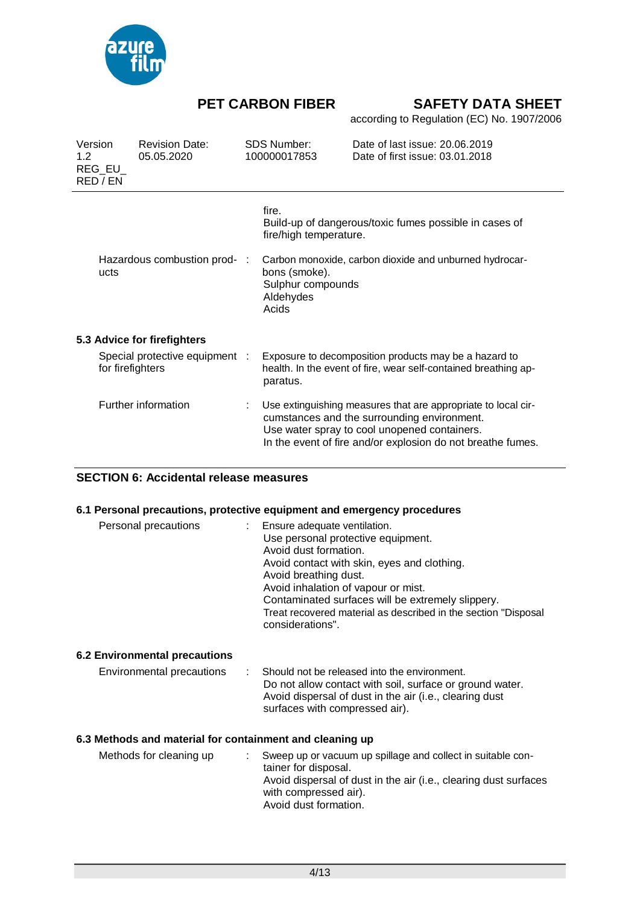

according to Regulation (EC) No. 1907/2006

| Version<br>1.2 | REG_EU_<br>RED / EN                  | <b>Revision Date:</b><br>05.05.2020 | <b>SDS Number:</b><br>100000017853                       | Date of last issue: 20.06.2019<br>Date of first issue: 03.01.2018                                                                                                                                                           |
|----------------|--------------------------------------|-------------------------------------|----------------------------------------------------------|-----------------------------------------------------------------------------------------------------------------------------------------------------------------------------------------------------------------------------|
|                |                                      |                                     | fire.<br>fire/high temperature.                          | Build-up of dangerous/toxic fumes possible in cases of                                                                                                                                                                      |
|                | Hazardous combustion prod- :<br>ucts |                                     | bons (smoke).<br>Sulphur compounds<br>Aldehydes<br>Acids | Carbon monoxide, carbon dioxide and unburned hydrocar-                                                                                                                                                                      |
|                |                                      | 5.3 Advice for firefighters         |                                                          |                                                                                                                                                                                                                             |
|                | for firefighters                     | Special protective equipment :      | paratus.                                                 | Exposure to decomposition products may be a hazard to<br>health. In the event of fire, wear self-contained breathing ap-                                                                                                    |
|                |                                      | Further information                 |                                                          | Use extinguishing measures that are appropriate to local cir-<br>cumstances and the surrounding environment.<br>Use water spray to cool unopened containers.<br>In the event of fire and/or explosion do not breathe fumes. |

### **SECTION 6: Accidental release measures**

#### **6.1 Personal precautions, protective equipment and emergency procedures**

| Personal precautions | Ensure adequate ventilation.<br>Use personal protective equipment.<br>Avoid dust formation.<br>Avoid contact with skin, eyes and clothing.<br>Avoid breathing dust.<br>Avoid inhalation of vapour or mist.<br>Contaminated surfaces will be extremely slippery.<br>Treat recovered material as described in the section "Disposal<br>considerations". |
|----------------------|-------------------------------------------------------------------------------------------------------------------------------------------------------------------------------------------------------------------------------------------------------------------------------------------------------------------------------------------------------|
|----------------------|-------------------------------------------------------------------------------------------------------------------------------------------------------------------------------------------------------------------------------------------------------------------------------------------------------------------------------------------------------|

### **6.2 Environmental precautions**

| Environmental precautions | : Should not be released into the environment.           |
|---------------------------|----------------------------------------------------------|
|                           | Do not allow contact with soil, surface or ground water. |
|                           | Avoid dispersal of dust in the air (i.e., clearing dust  |
|                           | surfaces with compressed air).                           |

#### **6.3 Methods and material for containment and cleaning up**

| Methods for cleaning up |  | Sweep up or vacuum up spillage and collect in suitable con-<br>tainer for disposal.<br>Avoid dispersal of dust in the air (i.e., clearing dust surfaces<br>with compressed air).<br>Avoid dust formation. |
|-------------------------|--|-----------------------------------------------------------------------------------------------------------------------------------------------------------------------------------------------------------|
|-------------------------|--|-----------------------------------------------------------------------------------------------------------------------------------------------------------------------------------------------------------|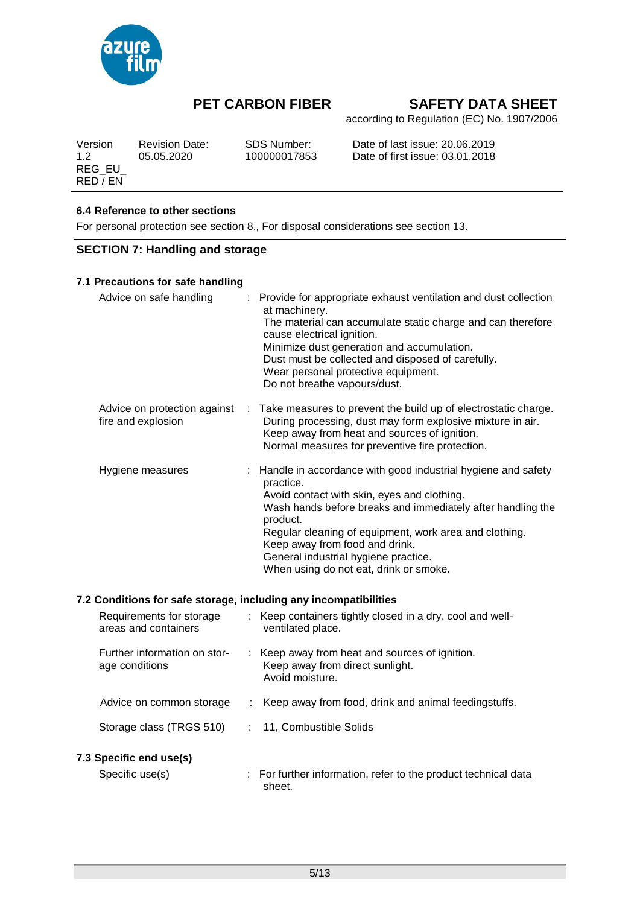

according to Regulation (EC) No. 1907/2006

| Version            | <b>Revision Date:</b> | SDS Number:  | Date of last issue: 20.06.2019  |
|--------------------|-----------------------|--------------|---------------------------------|
| 12                 | 05.05.2020            | 100000017853 | Date of first issue: 03.01.2018 |
| REG EU<br>RED / EN |                       |              |                                 |

### **6.4 Reference to other sections**

For personal protection see section 8., For disposal considerations see section 13.

### **SECTION 7: Handling and storage**

| 7.1 Precautions for safe handling                  |                                                                                                                                                                                                                                                                                                                                                                                     |
|----------------------------------------------------|-------------------------------------------------------------------------------------------------------------------------------------------------------------------------------------------------------------------------------------------------------------------------------------------------------------------------------------------------------------------------------------|
| Advice on safe handling                            | : Provide for appropriate exhaust ventilation and dust collection<br>at machinery.<br>The material can accumulate static charge and can therefore<br>cause electrical ignition.<br>Minimize dust generation and accumulation.<br>Dust must be collected and disposed of carefully.<br>Wear personal protective equipment.<br>Do not breathe vapours/dust.                           |
| Advice on protection against<br>fire and explosion | : Take measures to prevent the build up of electrostatic charge.<br>During processing, dust may form explosive mixture in air.<br>Keep away from heat and sources of ignition.<br>Normal measures for preventive fire protection.                                                                                                                                                   |
| Hygiene measures                                   | : Handle in accordance with good industrial hygiene and safety<br>practice.<br>Avoid contact with skin, eyes and clothing.<br>Wash hands before breaks and immediately after handling the<br>product.<br>Regular cleaning of equipment, work area and clothing.<br>Keep away from food and drink.<br>General industrial hygiene practice.<br>When using do not eat, drink or smoke. |

#### **7.2 Conditions for safe storage, including any incompatibilities**

| Requirements for storage<br>areas and containers | : Keep containers tightly closed in a dry, cool and well-<br>ventilated place.                       |
|--------------------------------------------------|------------------------------------------------------------------------------------------------------|
| Further information on stor-<br>age conditions   | : Keep away from heat and sources of ignition.<br>Keep away from direct sunlight.<br>Avoid moisture. |
| Advice on common storage                         | Keep away from food, drink and animal feedingstuffs.                                                 |
| Storage class (TRGS 510)                         | 11, Combustible Solids                                                                               |
| 7.3 Specific end use(s)                          |                                                                                                      |
| Specific use(s)                                  | : For further information, refer to the product technical data<br>sheet.                             |
|                                                  |                                                                                                      |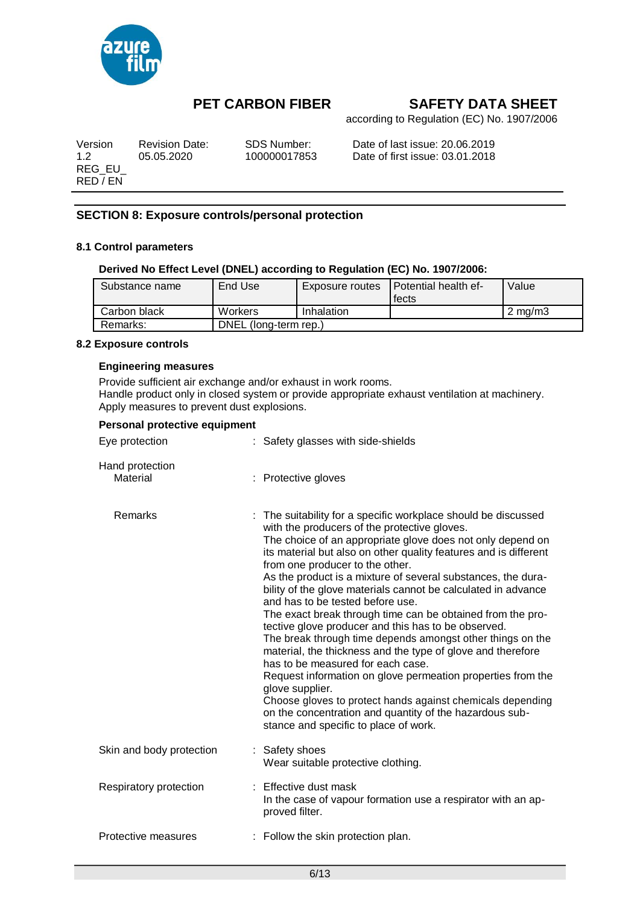

according to Regulation (EC) No. 1907/2006

| Version  | <b>Revision Date:</b> | SDS Number:  | Date of last issue: 20.06.2019  |
|----------|-----------------------|--------------|---------------------------------|
| 12       | 05.05.2020            | 100000017853 | Date of first issue: 03.01.2018 |
| REG EU   |                       |              |                                 |
| RED / EN |                       |              |                                 |

## **SECTION 8: Exposure controls/personal protection**

#### **8.1 Control parameters**

#### **Derived No Effect Level (DNEL) according to Regulation (EC) No. 1907/2006:**

| Substance name | End Use               | Exposure routes | <b>Potential health ef-</b><br>fects | Value              |  |
|----------------|-----------------------|-----------------|--------------------------------------|--------------------|--|
| Carbon black   | <b>Workers</b>        | Inhalation      |                                      | $2 \text{ ma/m}$ 3 |  |
| Remarks:       | DNEL (long-term rep.) |                 |                                      |                    |  |

#### **8.2 Exposure controls**

#### **Engineering measures**

Provide sufficient air exchange and/or exhaust in work rooms. Handle product only in closed system or provide appropriate exhaust ventilation at machinery. Apply measures to prevent dust explosions.

| Personal protective equipment |                                                                                                                                                                                                                                                                                                                                                                                                                                                                                                                                                                                                                                                                                                                                                                                                                                                                                                                                                                                                     |
|-------------------------------|-----------------------------------------------------------------------------------------------------------------------------------------------------------------------------------------------------------------------------------------------------------------------------------------------------------------------------------------------------------------------------------------------------------------------------------------------------------------------------------------------------------------------------------------------------------------------------------------------------------------------------------------------------------------------------------------------------------------------------------------------------------------------------------------------------------------------------------------------------------------------------------------------------------------------------------------------------------------------------------------------------|
| Eye protection                | : Safety glasses with side-shields                                                                                                                                                                                                                                                                                                                                                                                                                                                                                                                                                                                                                                                                                                                                                                                                                                                                                                                                                                  |
| Hand protection<br>Material   | : Protective gloves                                                                                                                                                                                                                                                                                                                                                                                                                                                                                                                                                                                                                                                                                                                                                                                                                                                                                                                                                                                 |
| Remarks                       | : The suitability for a specific workplace should be discussed<br>with the producers of the protective gloves.<br>The choice of an appropriate glove does not only depend on<br>its material but also on other quality features and is different<br>from one producer to the other.<br>As the product is a mixture of several substances, the dura-<br>bility of the glove materials cannot be calculated in advance<br>and has to be tested before use.<br>The exact break through time can be obtained from the pro-<br>tective glove producer and this has to be observed.<br>The break through time depends amongst other things on the<br>material, the thickness and the type of glove and therefore<br>has to be measured for each case.<br>Request information on glove permeation properties from the<br>glove supplier.<br>Choose gloves to protect hands against chemicals depending<br>on the concentration and quantity of the hazardous sub-<br>stance and specific to place of work. |
| Skin and body protection      | : Safety shoes<br>Wear suitable protective clothing.                                                                                                                                                                                                                                                                                                                                                                                                                                                                                                                                                                                                                                                                                                                                                                                                                                                                                                                                                |
| Respiratory protection        | : Effective dust mask<br>In the case of vapour formation use a respirator with an ap-<br>proved filter.                                                                                                                                                                                                                                                                                                                                                                                                                                                                                                                                                                                                                                                                                                                                                                                                                                                                                             |
| Protective measures           | : Follow the skin protection plan.                                                                                                                                                                                                                                                                                                                                                                                                                                                                                                                                                                                                                                                                                                                                                                                                                                                                                                                                                                  |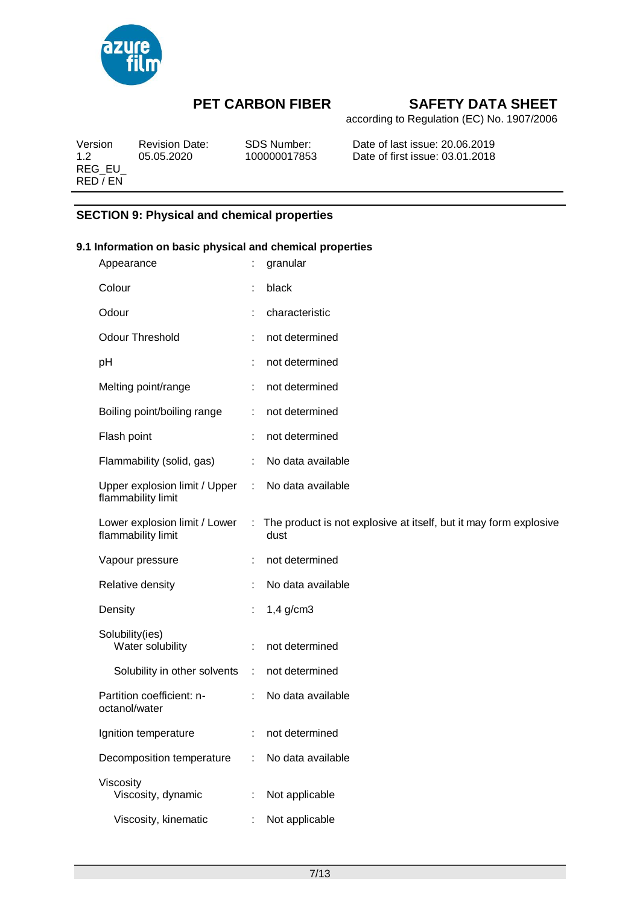

according to Regulation (EC) No. 1907/2006

Version Revision Date: SDS Number: Date of last issue: 20.06.2019 1.2 05.05.2020 100000017853 Date of first issue: 03.01.2018 REG\_EU\_ RED / EN

### **SECTION 9: Physical and chemical properties**

# **9.1 Information on basic physical and chemical properties**

| Appearance                                            |                | granular                                                                  |
|-------------------------------------------------------|----------------|---------------------------------------------------------------------------|
| Colour                                                |                | black                                                                     |
| Odour                                                 |                | characteristic                                                            |
| <b>Odour Threshold</b>                                |                | not determined                                                            |
| pH                                                    |                | not determined                                                            |
| Melting point/range                                   | ÷              | not determined                                                            |
| Boiling point/boiling range                           | ÷.             | not determined                                                            |
| Flash point                                           |                | not determined                                                            |
| Flammability (solid, gas)                             | $\mathbb{R}^n$ | No data available                                                         |
| Upper explosion limit / Upper :<br>flammability limit |                | No data available                                                         |
| Lower explosion limit / Lower<br>flammability limit   | $\mathcal{L}$  | The product is not explosive at itself, but it may form explosive<br>dust |
|                                                       |                |                                                                           |
| Vapour pressure                                       | ÷              | not determined                                                            |
| Relative density                                      |                | No data available                                                         |
| Density                                               |                | $1,4$ g/cm3                                                               |
| Solubility(ies)<br>Water solubility                   |                | not determined                                                            |
| Solubility in other solvents :                        |                | not determined                                                            |
| Partition coefficient: n-<br>octanol/water            |                | : No data available                                                       |
| Ignition temperature                                  |                | not determined                                                            |
| Decomposition temperature                             |                | No data available                                                         |
| Viscosity<br>Viscosity, dynamic                       |                | Not applicable                                                            |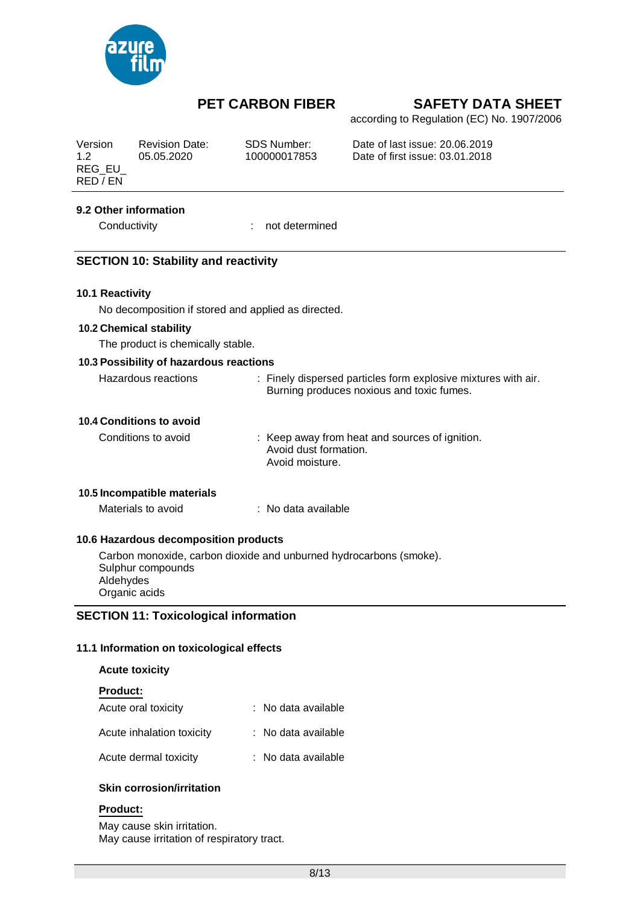

according to Regulation (EC) No. 1907/2006

| Version<br>1.2<br>REG_EU_<br>RED / EN | <b>Revision Date:</b><br>05.05.2020          | <b>SDS Number:</b><br>100000017853                                                         | Date of last issue: 20.06.2019<br>Date of first issue: 03.01.2018                                           |  |
|---------------------------------------|----------------------------------------------|--------------------------------------------------------------------------------------------|-------------------------------------------------------------------------------------------------------------|--|
|                                       | 9.2 Other information                        |                                                                                            |                                                                                                             |  |
|                                       | Conductivity                                 | not determined                                                                             |                                                                                                             |  |
|                                       | <b>SECTION 10: Stability and reactivity</b>  |                                                                                            |                                                                                                             |  |
| 10.1 Reactivity                       |                                              |                                                                                            |                                                                                                             |  |
|                                       |                                              | No decomposition if stored and applied as directed.                                        |                                                                                                             |  |
|                                       | 10.2 Chemical stability                      |                                                                                            |                                                                                                             |  |
|                                       | The product is chemically stable.            |                                                                                            |                                                                                                             |  |
|                                       | 10.3 Possibility of hazardous reactions      |                                                                                            |                                                                                                             |  |
|                                       | Hazardous reactions                          |                                                                                            | : Finely dispersed particles form explosive mixtures with air.<br>Burning produces noxious and toxic fumes. |  |
|                                       | 10.4 Conditions to avoid                     |                                                                                            |                                                                                                             |  |
|                                       | Conditions to avoid                          | : Keep away from heat and sources of ignition.<br>Avoid dust formation.<br>Avoid moisture. |                                                                                                             |  |
|                                       | 10.5 Incompatible materials                  |                                                                                            |                                                                                                             |  |
|                                       | Materials to avoid                           | : No data available                                                                        |                                                                                                             |  |
|                                       | 10.6 Hazardous decomposition products        |                                                                                            |                                                                                                             |  |
| Aldehydes                             | Sulphur compounds<br>Organic acids           | Carbon monoxide, carbon dioxide and unburned hydrocarbons (smoke).                         |                                                                                                             |  |
|                                       | <b>SECTION 11: Toxicological information</b> |                                                                                            |                                                                                                             |  |
|                                       | 11.1 Information on toxicological effects    |                                                                                            |                                                                                                             |  |
|                                       | <b>Acute toxicity</b>                        |                                                                                            |                                                                                                             |  |
| <b>Product:</b>                       |                                              |                                                                                            |                                                                                                             |  |
|                                       | Acute oral toxicity                          | No data available                                                                          |                                                                                                             |  |
|                                       | Acute inhalation toxicity                    | : No data available                                                                        |                                                                                                             |  |
|                                       | Acute dermal toxicity                        | : No data available                                                                        |                                                                                                             |  |

#### **Skin corrosion/irritation**

### **Product:**

May cause skin irritation. May cause irritation of respiratory tract.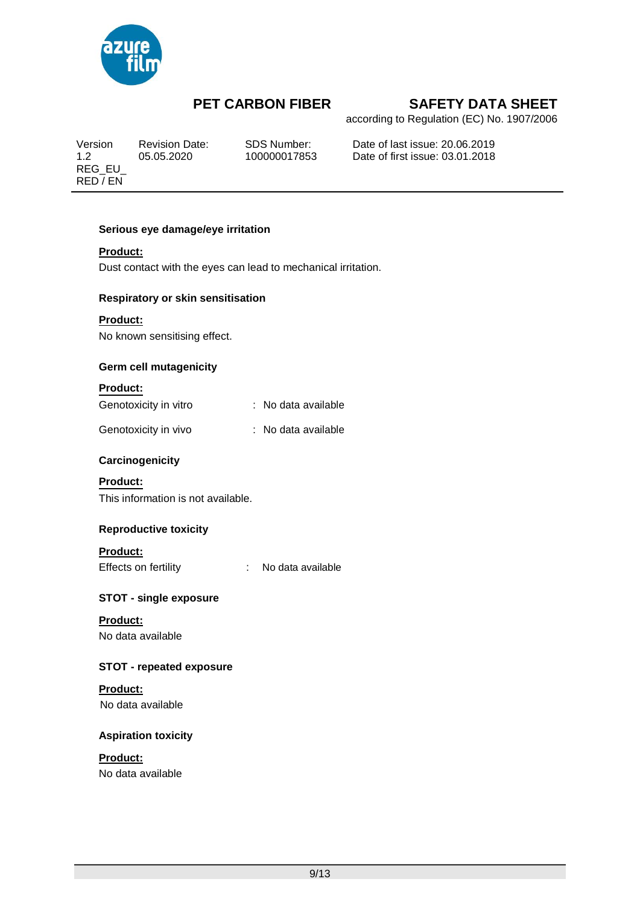

according to Regulation (EC) No. 1907/2006

REG\_EU\_ RED / EN

Version Revision Date: SDS Number: Date of last issue: 20.06.2019 1.2 05.05.2020 100000017853 Date of first issue: 03.01.2018

### **Serious eye damage/eye irritation**

#### **Product:**

Dust contact with the eyes can lead to mechanical irritation.

#### **Respiratory or skin sensitisation**

### **Product:**

No known sensitising effect.

### **Germ cell mutagenicity**

#### **Product:**

| Genotoxicity in vitro | : No data available |
|-----------------------|---------------------|
|-----------------------|---------------------|

| Genotoxicity in vivo |  | : No data available |
|----------------------|--|---------------------|
|----------------------|--|---------------------|

### **Carcinogenicity**

#### **Product:**

This information is not available.

#### **Reproductive toxicity**

### **Product:**

Effects on fertility **:** No data available

### **STOT - single exposure**

**Product:** No data available

### **STOT - repeated exposure**

#### **Product:** No data available

# **Aspiration toxicity**

# **Product:**

No data available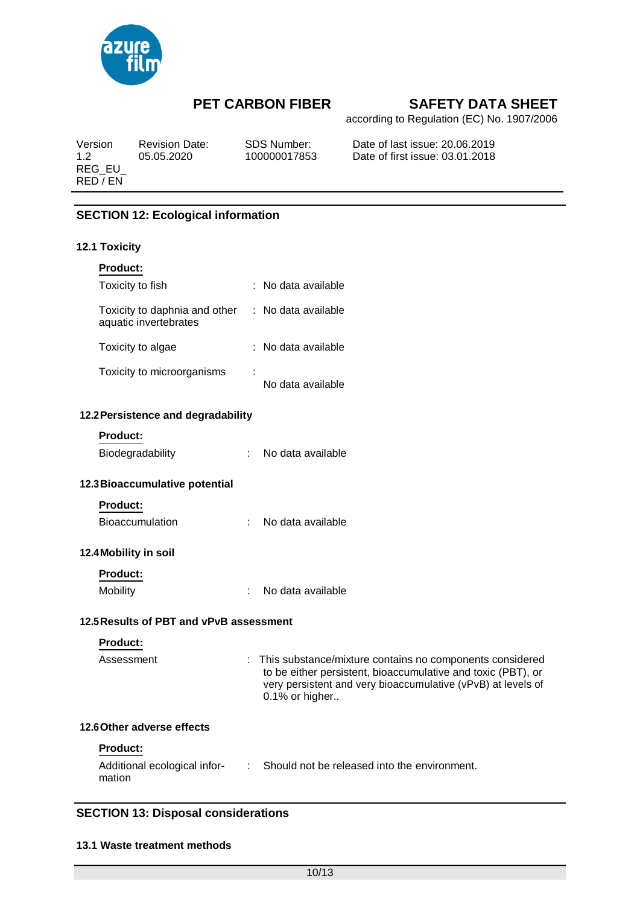

according to Regulation (EC) No. 1907/2006

Version Revision Date: SDS Number: Date of last issue: 20.06.2019 1.2 05.05.2020 100000017853 Date of first issue: 03.01.2018 REG\_EU\_ RED / EN

### **SECTION 12: Ecological information**

#### **12.1 Toxicity**

| <b>Product:</b>                                        |                                     |
|--------------------------------------------------------|-------------------------------------|
| Toxicity to fish                                       | : No data available                 |
| Toxicity to daphnia and other<br>aquatic invertebrates | : No data available                 |
| Toxicity to algae                                      | $:$ No data available               |
| Toxicity to microorganisms                             | $\blacksquare$<br>No data available |

### **12.2Persistence and degradability**

# **Product:**

| Biodegradability | No data available |
|------------------|-------------------|
|                  |                   |

#### **12.3Bioaccumulative potential**

| <b>Product:</b> |
|-----------------|
|-----------------|

| <b>Bioaccumulation</b> | No data available |
|------------------------|-------------------|
|                        |                   |

### **12.4Mobility in soil**

| <b>Product:</b> |                   |
|-----------------|-------------------|
| <b>Mobility</b> | No data available |

#### **12.5Results of PBT and vPvB assessment**

#### **Product:**

| Assessment | : This substance/mixture contains no components considered   |
|------------|--------------------------------------------------------------|
|            | to be either persistent, bioaccumulative and toxic (PBT), or |
|            | very persistent and very bioaccumulative (vPvB) at levels of |
|            | $0.1\%$ or higher                                            |

#### **12.6Other adverse effects**

#### **Product:**

| Additional ecological infor- | Should not be released into the environment. |
|------------------------------|----------------------------------------------|
| mation                       |                                              |

### **SECTION 13: Disposal considerations**

#### **13.1 Waste treatment methods**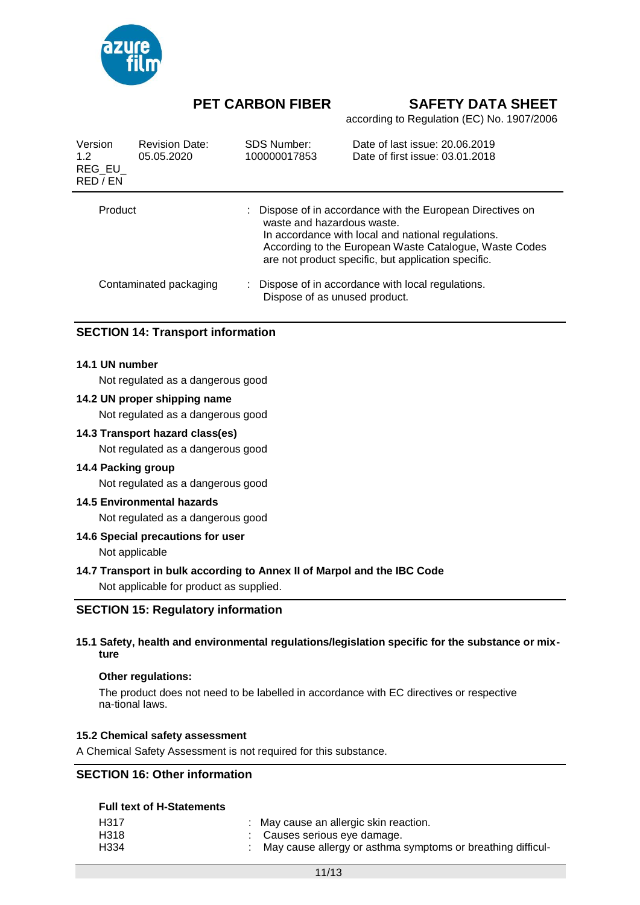

according to Regulation (EC) No. 1907/2006

| Version<br>1.2<br>REG EU<br>RED / EN | <b>Revision Date:</b><br>05.05.2020 | SDS Number:<br>100000017853   | Date of last issue: 20.06.2019<br>Date of first issue: 03.01.2018                                                                                                                                                                 |
|--------------------------------------|-------------------------------------|-------------------------------|-----------------------------------------------------------------------------------------------------------------------------------------------------------------------------------------------------------------------------------|
| Product                              |                                     | waste and hazardous waste.    | : Dispose of in accordance with the European Directives on<br>In accordance with local and national regulations.<br>According to the European Waste Catalogue, Waste Codes<br>are not product specific, but application specific. |
|                                      | Contaminated packaging              | Dispose of as unused product. | : Dispose of in accordance with local regulations.                                                                                                                                                                                |

#### **SECTION 14: Transport information**

#### **14.1 UN number**

Not regulated as a dangerous good

#### **14.2 UN proper shipping name**

Not regulated as a dangerous good

#### **14.3 Transport hazard class(es)**

Not regulated as a dangerous good

#### **14.4 Packing group**

Not regulated as a dangerous good

#### **14.5 Environmental hazards**

Not regulated as a dangerous good

#### **14.6 Special precautions for user**

Not applicable

#### **14.7 Transport in bulk according to Annex II of Marpol and the IBC Code**

Not applicable for product as supplied.

#### **SECTION 15: Regulatory information**

#### **15.1 Safety, health and environmental regulations/legislation specific for the substance or mixture**

#### **Other regulations:**

The product does not need to be labelled in accordance with EC directives or respective na-tional laws.

#### **15.2 Chemical safety assessment**

A Chemical Safety Assessment is not required for this substance.

### **SECTION 16: Other information**

#### **Full text of H-Statements**

| H317 | : May cause an allergic skin reaction.                        |
|------|---------------------------------------------------------------|
| H318 | : Causes serious eve damage.                                  |
| H334 | : May cause allergy or asthma symptoms or breathing difficul- |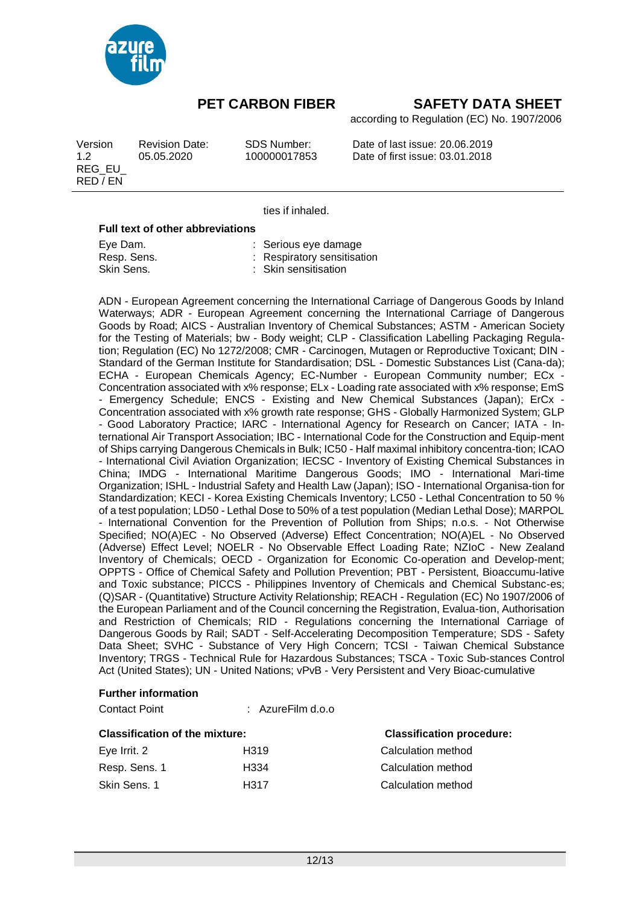

according to Regulation (EC) No. 1907/2006

| Version<br>1.2<br>REG EU<br>RED / EN | <b>Revision Date:</b><br>05.05.2020 | SDS Number:<br>100000017853 | Date of last issue: 20.06.2019<br>Date of first issue: 03.01.2018 |
|--------------------------------------|-------------------------------------|-----------------------------|-------------------------------------------------------------------|
|                                      |                                     |                             |                                                                   |

ties if inhaled.

#### **Full text of other abbreviations**

| Eve Dam.    | : Serious eye damage        |
|-------------|-----------------------------|
| Resp. Sens. | : Respiratory sensitisation |
| Skin Sens.  | : Skin sensitisation        |

ADN - European Agreement concerning the International Carriage of Dangerous Goods by Inland Waterways; ADR - European Agreement concerning the International Carriage of Dangerous Goods by Road; AICS - Australian Inventory of Chemical Substances; ASTM - American Society for the Testing of Materials; bw - Body weight; CLP - Classification Labelling Packaging Regulation; Regulation (EC) No 1272/2008; CMR - Carcinogen, Mutagen or Reproductive Toxicant; DIN - Standard of the German Institute for Standardisation; DSL - Domestic Substances List (Cana-da); ECHA - European Chemicals Agency; EC-Number - European Community number; ECx - Concentration associated with x% response; ELx - Loading rate associated with x% response; EmS - Emergency Schedule; ENCS - Existing and New Chemical Substances (Japan); ErCx - Concentration associated with x% growth rate response; GHS - Globally Harmonized System; GLP - Good Laboratory Practice; IARC - International Agency for Research on Cancer; IATA - International Air Transport Association; IBC - International Code for the Construction and Equip-ment of Ships carrying Dangerous Chemicals in Bulk; IC50 - Half maximal inhibitory concentra-tion; ICAO - International Civil Aviation Organization; IECSC - Inventory of Existing Chemical Substances in China; IMDG - International Maritime Dangerous Goods; IMO - International Mari-time Organization; ISHL - Industrial Safety and Health Law (Japan); ISO - International Organisa-tion for Standardization; KECI - Korea Existing Chemicals Inventory; LC50 - Lethal Concentration to 50 % of a test population; LD50 -Lethal Dose to 50% of a test population (Median Lethal Dose); MARPOL - International Convention for the Prevention of Pollution from Ships; n.o.s. - Not Otherwise Specified; NO(A)EC - No Observed (Adverse) Effect Concentration; NO(A)EL - No Observed (Adverse) Effect Level; NOELR - No Observable Effect Loading Rate; NZIoC - New Zealand Inventory of Chemicals; OECD - Organization for Economic Co-operation and Develop-ment; OPPTS - Office of Chemical Safety and Pollution Prevention; PBT - Persistent, Bioaccumu-lative and Toxic substance; PICCS - Philippines Inventory of Chemicals and Chemical Substanc-es; (Q)SAR - (Quantitative) Structure Activity Relationship; REACH - Regulation (EC) No 1907/2006 of the European Parliament and of the Council concerning the Registration, Evalua-tion, Authorisation and Restriction of Chemicals; RID - Regulations concerning the International Carriage of Dangerous Goods by Rail; SADT - Self-Accelerating Decomposition Temperature; SDS - Safety Data Sheet; SVHC - Substance of Very High Concern; TCSI - Taiwan Chemical Substance Inventory; TRGS - Technical Rule for Hazardous Substances; TSCA - Toxic Sub-stances Control Act (United States); UN - United Nations; vPvB - Very Persistent and Very Bioac-cumulative

#### **Further information**

Contact Point : AzureFilm d.o.o

| <b>Classification of the mixture:</b> |                  | <b>Classification procedure:</b> |
|---------------------------------------|------------------|----------------------------------|
| Eye Irrit. 2                          | H <sub>319</sub> | Calculation method               |
| Resp. Sens. 1                         | H <sub>334</sub> | Calculation method               |
| Skin Sens. 1                          | H <sub>317</sub> | Calculation method               |